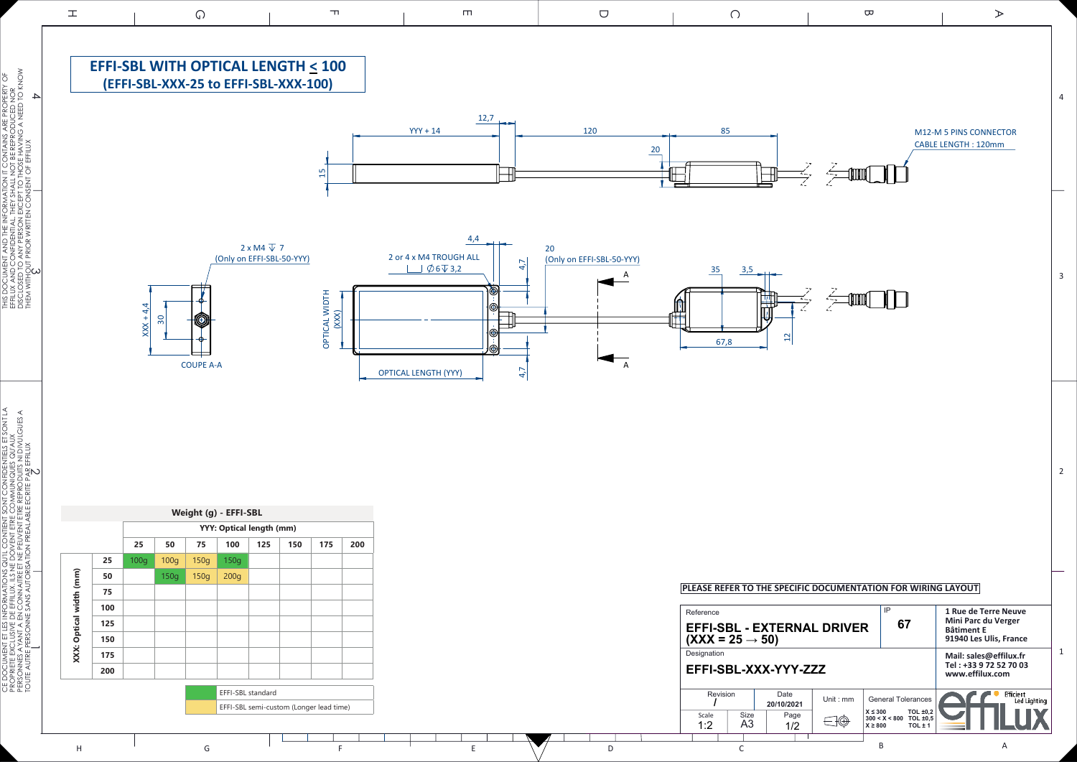



CE DOCUMENT ET LES INFORMATIONS QU'IL CONTIENT SONT CONFIDENTIELS ET SONT LA PROPRIETE EXCLUSIVE DE EFFILUX. ILS NE DOIVENT ETRE COMMUNIQUES QU'AUX PERSONNES AYANT A EN CONNAITRE ET NE PEUVENT ETRE REPRODUITS NI DIVULGUES A

THIS DOCUMENT AND THE INFORMATION IT CONTAINS ARE PROPERTY OF EFFILUX AND CONFIDENTIAL. THEY SHALL NOT BE REPRODUCED NOR DISCLOSED TO ANY PERSON EXCEPT TO THOSE HAVING A NEED TO KNOW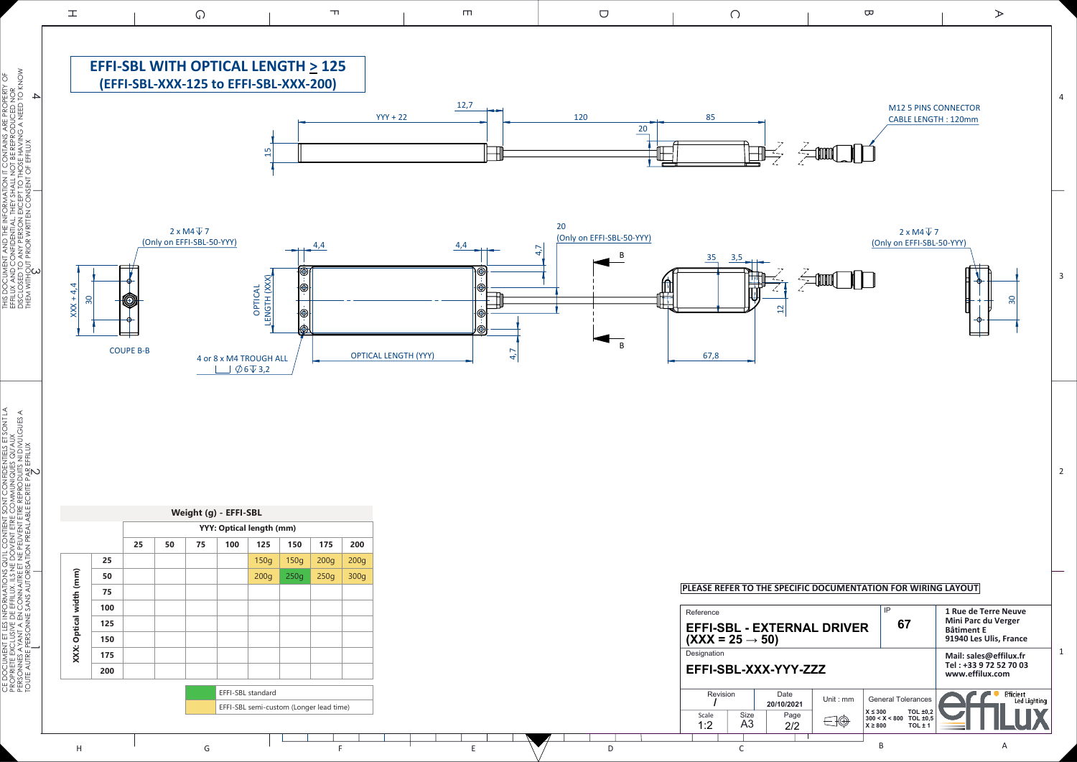





i începte de la personne :<br>Personnes Ayant A En<br>Toute Autre Personne :

CE DOCUMENT ET LES INFORMATIONS QU'IL CONTIENT SONT CONFIDENTIELS ET SONT LA PROPRIETE EXCLUSIVE DE EFFILUX. ILS NE DOIVENT ETRE COMMUNIQUES QU'AUX PERSONNES AYANT A EN CONNAITRE ET NE PEUVENT ETRE REPRODUITS NI DIVULGUES A

TOUTE AUTRE PERSONNE SANS AUTORISATION PREALABLE ECRITE PAR EFFILUX

**SANS** 

THIS DOCUMENT AND THE INFORMATION IT CONTAINS ARE PROPERTY OF EFFILUX AND CONFIDENTIAL. THEY SHALL NOT BE REPRODUCED NOR DISCLOSED TO ANY PERSON EXCEPT TO THOSE HAVING A NEED TO KNOW

SHALL I TTO TH

THFY

THEM WITHOUT PRIOR WRITTEN CONSENT OF EFFILUX



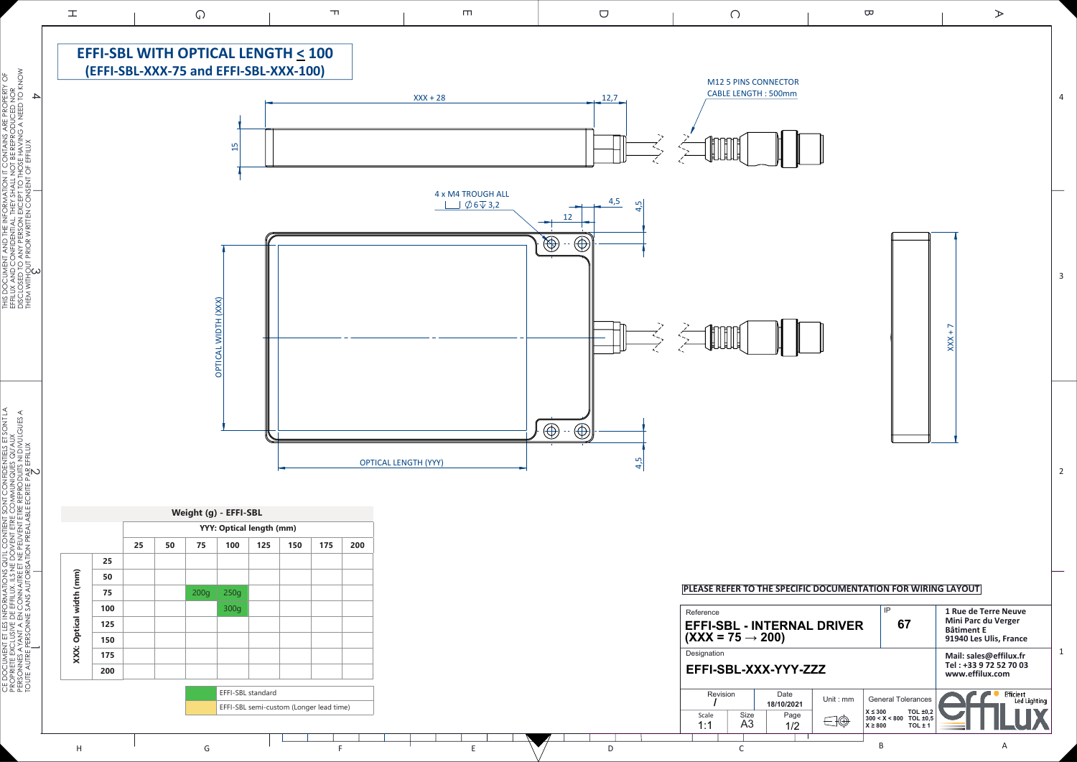

CE DOCUMENT ET LES INFORMATIONS QU'IL CONTIENT SONT CONFIDENTIELS ET SONT LA PROPRIETE EXCLUSIVE DE EFFILUX. ILS NE DOIVENT ETRE COMMUNIQUES QU'AUX PERSONNES AYANT A EN CONNAITRE ET NE PEUVENT ETRE REPRODUITS NI DIVULGUES A

THIS DOCUMENT AND THE INFORMATION IT CONTAINS ARE PROPERTY OF EFFILUX AND CONFIDENTIAL. THEY SHALL NOT BE REPRODUCED NOR

SHALL N